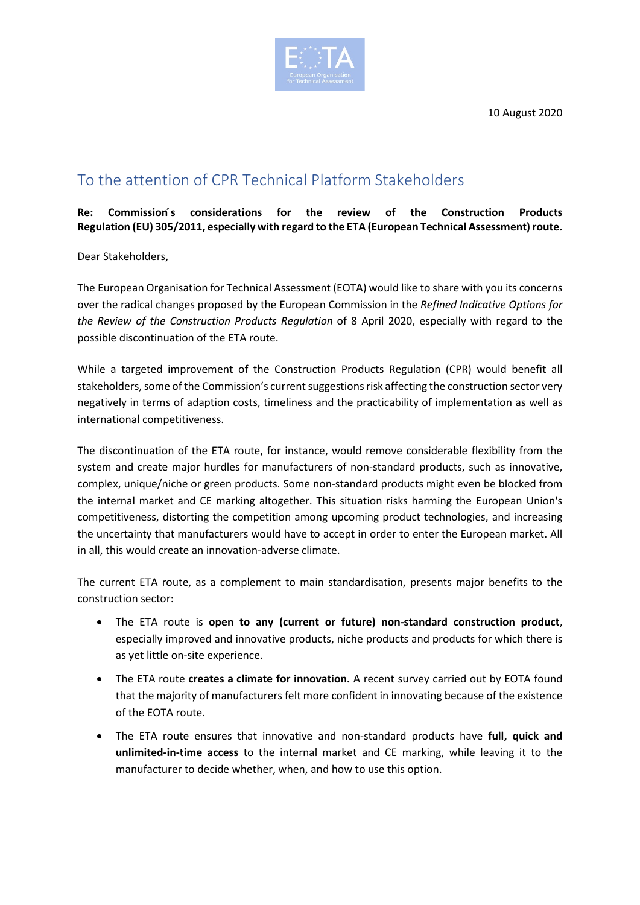10 August 2020



## To the attention of CPR Technical Platform Stakeholders

**Re: Commission ́s considerations for the review of the Construction Products Regulation (EU) 305/2011, especially with regard to the ETA (European Technical Assessment) route.**

Dear Stakeholders,

The European Organisation for Technical Assessment (EOTA) would like to share with you its concerns over the radical changes proposed by the European Commission in the *Refined Indicative Options for the Review of the Construction Products Regulation* of 8 April 2020, especially with regard to the possible discontinuation of the ETA route.

While a targeted improvement of the Construction Products Regulation (CPR) would benefit all stakeholders, some of the Commission's current suggestions risk affecting the construction sector very negatively in terms of adaption costs, timeliness and the practicability of implementation as well as international competitiveness.

The discontinuation of the ETA route, for instance, would remove considerable flexibility from the system and create major hurdles for manufacturers of non-standard products, such as innovative, complex, unique/niche or green products. Some non-standard products might even be blocked from the internal market and CE marking altogether. This situation risks harming the European Union's competitiveness, distorting the competition among upcoming product technologies, and increasing the uncertainty that manufacturers would have to accept in order to enter the European market. All in all, this would create an innovation-adverse climate.

The current ETA route, as a complement to main standardisation, presents major benefits to the construction sector:

- The ETA route is **open to any (current or future) non-standard construction product**, especially improved and innovative products, niche products and products for which there is as yet little on-site experience.
- The ETA route **creates a climate for innovation.** A recent survey carried out by EOTA found that the majority of manufacturers felt more confident in innovating because of the existence of the EOTA route.
- The ETA route ensures that innovative and non-standard products have **full, quick and unlimited-in-time access** to the internal market and CE marking, while leaving it to the manufacturer to decide whether, when, and how to use this option.